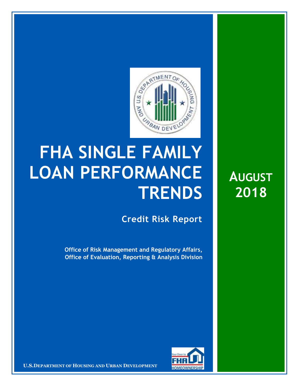

## **FHA SINGLE FAMILY LOAN PERFORMANCE TRENDS**

**Credit Risk Report**

**Office of Risk Management and Regulatory Affairs, Office of Evaluation, Reporting & Analysis Division**



**U.S.DEPARTMENT OF HOUSING AND URBAN DEVELOPMENT** 

**AUGUST 2018**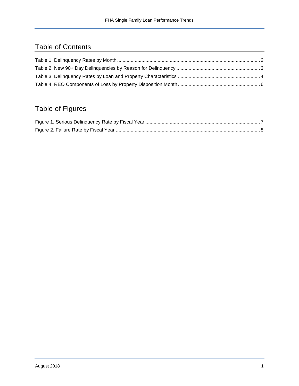## Table of Contents

## Table of Figures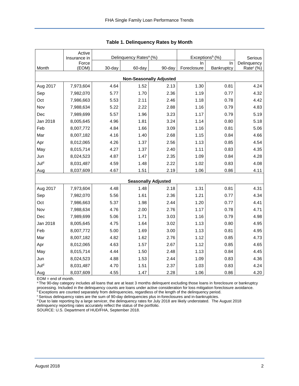<span id="page-2-0"></span>

|                                | Active                |        | Delinquency Rates <sup>a</sup> (%) |                            | Exceptions <sup>b</sup> (%) |            |                        |  |  |  |  |
|--------------------------------|-----------------------|--------|------------------------------------|----------------------------|-----------------------------|------------|------------------------|--|--|--|--|
|                                | Insurance in<br>Force |        |                                    |                            | In                          | In         | Serious<br>Delinquency |  |  |  |  |
| Month                          | (EOM)                 | 30-day | 60-day                             | 90-day                     | Foreclosure                 | Bankruptcy | Rate <sup>c</sup> (%)  |  |  |  |  |
| <b>Non-Seasonally Adjusted</b> |                       |        |                                    |                            |                             |            |                        |  |  |  |  |
| Aug 2017                       | 7,973,604             | 4.64   | 1.52                               | 2.13                       | 1.30                        | 0.81       | 4.24                   |  |  |  |  |
| Sep                            | 7,982,070             | 5.77   | 1.70                               | 2.36                       | 1.19                        | 0.77       | 4.32                   |  |  |  |  |
| Oct                            | 7,986,663             | 5.53   | 2.11                               | 2.46                       | 1.18                        | 0.78       | 4.42                   |  |  |  |  |
| Nov                            | 7,988,634             | 5.22   | 2.22                               | 2.88                       | 1.16                        | 0.79       | 4.83                   |  |  |  |  |
| Dec                            | 7,989,699             | 5.57   | 1.96                               | 3.23                       | 1.17                        | 0.79       | 5.19                   |  |  |  |  |
| Jan 2018                       | 8,005,645             | 4.96   | 1.81                               | 3.24                       | 1.14                        | 0.80       | 5.18                   |  |  |  |  |
| Feb                            | 8,007,772             | 4.84   | 1.66                               | 3.09                       | 1.16                        | 0.81       | 5.06                   |  |  |  |  |
| Mar                            | 8,007,182             | 4.16   | 1.40                               | 2.68                       | 1.15                        | 0.84       | 4.66                   |  |  |  |  |
| Apr                            | 8,012,065             | 4.26   | 1.37                               | 2.56                       | 1.13                        | 0.85       | 4.54                   |  |  |  |  |
| May                            | 8,015,714             | 4.27   | 1.37                               | 2.40                       | 1.11                        | 0.83       | 4.35                   |  |  |  |  |
| Jun                            | 8,024,523             | 4.87   | 1.47                               | 2.35                       | 1.09                        | 0.84       | 4.28                   |  |  |  |  |
| Juld                           | 8,031,487             | 4.59   | 1.48                               | 2.22                       | 1.02                        | 0.83       | 4.08                   |  |  |  |  |
| Aug                            | 8,037,609             | 4.67   | 1.51                               | 2.19                       | 1.06                        | 0.86       | 4.11                   |  |  |  |  |
|                                |                       |        |                                    | <b>Seasonally Adjusted</b> |                             |            |                        |  |  |  |  |
| Aug 2017                       | 7,973,604             | 4.48   | 1.48                               | 2.18                       | 1.31                        | 0.81       | 4.31                   |  |  |  |  |
| Sep                            | 7,982,070             | 5.56   | 1.61                               | 2.36                       | 1.21                        | 0.77       | 4.34                   |  |  |  |  |
| Oct                            | 7,986,663             | 5.37   | 1.98                               | 2.44                       | 1.20                        | 0.77       | 4.41                   |  |  |  |  |
| Nov                            | 7,988,634             | 4.76   | 2.00                               | 2.76                       | 1.17                        | 0.78       | 4.71                   |  |  |  |  |
| Dec                            | 7,989,699             | 5.06   | 1.71                               | 3.03                       | 1.16                        | 0.79       | 4.98                   |  |  |  |  |
| Jan 2018                       | 8,005,645             | 4.75   | 1.64                               | 3.02                       | 1.13                        | 0.80       | 4.95                   |  |  |  |  |
| Feb                            | 8,007,772             | 5.00   | 1.69                               | 3.00                       | 1.13                        | 0.81       | 4.95                   |  |  |  |  |
| Mar                            | 8,007,182             | 4.82   | 1.62                               | 2.76                       | 1.12                        | 0.85       | 4.73                   |  |  |  |  |
| Apr                            | 8,012,065             | 4.63   | 1.57                               | 2.67                       | 1.12                        | 0.85       | 4.65                   |  |  |  |  |
| May                            | 8,015,714             | 4.44   | 1.50                               | 2.48                       | 1.13                        | 0.84       | 4.45                   |  |  |  |  |
| Jun                            | 8,024,523             | 4.88   | 1.53                               | 2.44                       | 1.09                        | 0.83       | 4.36                   |  |  |  |  |
| Juld                           | 8,031,487             | 4.70   | 1.51                               | 2.37                       | 1.03                        | 0.83       | 4.24                   |  |  |  |  |
| Aug                            | 8,037,609             | 4.55   | 1.47                               | 2.28                       | 1.06                        | 0.86       | 4.20                   |  |  |  |  |

**Table 1. Delinquency Rates by Month**

EOM = end of month.

a The 90-day category includes all loans that are at least 3 months delinquent excluding those loans in foreclosure or bankruptcy processing. Included in the delinquency counts are loans under active consideration for loss mitigation foreclosure avoidance.

**bExceptions are counted separately from delinquencies, regardless of the length of the delinquency period.** 

<sup>c</sup> Serious delinquency rates are the sum of 90-day delinquencies plus in-foreclosures and in-bankruptcies.

<sup>d</sup> Due to late reporting by a large servicer, the delinquency rates for July 2018 are likely understated. The August 2018 delinquency reporting rates accurately reflect the status of the portfolio.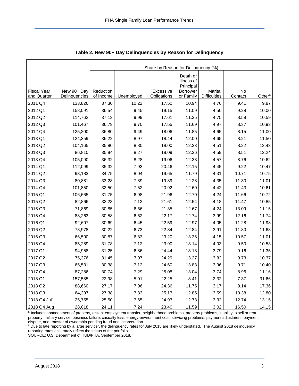<span id="page-3-0"></span>

|                                   |                              | Share by Reason for Delinquency (%) |            |                          |                                     |                                |               |                    |  |  |  |  |
|-----------------------------------|------------------------------|-------------------------------------|------------|--------------------------|-------------------------------------|--------------------------------|---------------|--------------------|--|--|--|--|
|                                   |                              |                                     |            |                          | Death or<br>Illness of<br>Principal |                                |               |                    |  |  |  |  |
| <b>Fiscal Year</b><br>and Quarter | New 90+ Day<br>Delinquencies | Reduction<br>of Income              | Unemployed | Excessive<br>Obligations | Borrower<br>or Family               | Marital<br><b>Difficulties</b> | No<br>Contact | Other <sup>a</sup> |  |  |  |  |
| 2011 Q4                           | 133,826                      | 37.30                               | 10.22      | 17.50                    | 10.94                               | 4.76                           | 9.41          | 9.87               |  |  |  |  |
| 2012 Q1                           | 158,091                      | 36.54                               | 9.45       | 19.15                    | 11.09                               | 4.50                           | 9.28          | 10.00              |  |  |  |  |
| 2012 Q2                           | 114,762                      | 37.13                               | 9.99       | 17.61                    | 11.35                               | 4.75                           | 8.58          | 10.59              |  |  |  |  |
| 2012 Q3                           | 101,467                      | 36.79                               | 9.70       | 17.55                    | 11.69                               | 4.97                           | 8.37          | 10.93              |  |  |  |  |
| 2012 Q4                           | 125,200                      | 36.80                               | 9.49       | 18.06                    | 11.85                               | 4.65                           | 8.15          | 11.00              |  |  |  |  |
| 2013 Q1                           | 124,359                      | 36.22                               | 8.97       | 18.44                    | 12.00                               | 4.65                           | 8.21          | 11.50              |  |  |  |  |
| 2013 Q2                           | 104,165                      | 35.80                               | 8.80       | 18.00                    | 12.23                               | 4.51                           | 8.22          | 12.43              |  |  |  |  |
| 2013 Q3                           | 86,810                       | 35.94                               | 8.27       | 18.09                    | 12.36                               | 4.59                           | 8.51          | 12.24              |  |  |  |  |
| 2013 Q4                           | 105,090                      | 36.32                               | 8.28       | 19.06                    | 12.38                               | 4.57                           | 8.76          | 10.62              |  |  |  |  |
| 2014 Q1                           | 112,099                      | 35.32                               | 7.93       | 20.46                    | 12.15                               | 4.45                           | 9.22          | 10.47              |  |  |  |  |
| 2014 Q2                           | 93,183                       | 34.75                               | 8.04       | 19.65                    | 11.79                               | 4.31                           | 10.71         | 10.75              |  |  |  |  |
| 2014 Q3                           | 80,881                       | 33.28                               | 7.89       | 19.89                    | 12.28                               | 4.35                           | 11.30         | 11.01              |  |  |  |  |
| 2014 Q4                           | 101,850                      | 32.50                               | 7.52       | 20.92                    | 12.60                               | 4.42                           | 11.43         | 10.61              |  |  |  |  |
| 2015 Q1                           | 106,665                      | 31.75                               | 6.98       | 21.96                    | 12.70                               | 4.24                           | 11.66         | 10.72              |  |  |  |  |
| 2015 Q2                           | 82,866                       | 32.23                               | 7.12       | 21.61                    | 12.54                               | 4.18                           | 11.47         | 10.85              |  |  |  |  |
| 2015 Q3                           | 71,869                       | 30.85                               | 6.66       | 21.35                    | 12.67                               | 4.24                           | 13.09         | 11.15              |  |  |  |  |
| 2015 Q4                           | 88,263                       | 30.58                               | 6.62       | 22.17                    | 12.74                               | 3.99                           | 12.16         | 11.74              |  |  |  |  |
| 2016 Q1                           | 92,607                       | 30.69                               | 6.45       | 22.59                    | 12.97                               | 4.05                           | 11.28         | 11.98              |  |  |  |  |
| 2016 Q2                           | 78,978                       | 30.22                               | 6.73       | 22.84                    | 12.84                               | 3.91                           | 11.80         | 11.68              |  |  |  |  |
| 2016 Q3                           | 66,500                       | 30.87                               | 6.83       | 23.20                    | 13.36                               | 4.15                           | 10.57         | 11.01              |  |  |  |  |
| 2016 Q4                           | 85,289                       | 31.78                               | 7.12       | 23.90                    | 13.14                               | 4.03                           | 9.50          | 10.53              |  |  |  |  |
| 2017 Q1                           | 94,958                       | 31.25                               | 6.86       | 24.44                    | 13.13                               | 3.79                           | 9.16          | 11.35              |  |  |  |  |
| 2017 Q2                           | 75,376                       | 31.45                               | 7.07       | 24.29                    | 13.27                               | 3.82                           | 9.73          | 10.37              |  |  |  |  |
| 2017 Q3                           | 65,531                       | 30.38                               | 7.12       | 24.60                    | 13.83                               | 3.96                           | 9.71          | 10.40              |  |  |  |  |
| 2017 Q4                           | 87,286                       | 30.74                               | 7.29       | 25.08                    | 13.04                               | 3.74                           | 8.96          | 11.16              |  |  |  |  |
| 2018 Q1                           | 157,585                      | 22.98                               | 5.01       | 22.25                    | 8.41                                | 2.32                           | 7.37          | 31.66              |  |  |  |  |
| 2018 Q2                           | 88,660                       | 27.17                               | 7.06       | 24.36                    | 11.75                               | 3.17                           | 9.14          | 17.36              |  |  |  |  |
| 2018 Q3                           | 64,397                       | 27.38                               | 7.83       | 25.17                    | 12.85                               | 3.59                           | 10.38         | 12.80              |  |  |  |  |
| 2018 Q4 Julb                      | 25,755                       | 25.50                               | 7.65       | 24.93                    | 12.73                               | 3.32                           | 12.74         | 13.15              |  |  |  |  |
| 2018 Q4 Aug                       | 28,018                       | 24.11                               | 7.24       | 23.40                    | 11.59                               | 3.02                           | 16.50         | 14.15              |  |  |  |  |

**Table 2. New 90+ Day Delinquencies by Reason for Delinquency**

a Includes abandonment of property, distant employment transfer, neighborhood problems, property problems, inability to sell or rent property, military service, business failure, casualty loss, energy-environment cost, servicing problems, payment adjustment, payment dispute, and transfer of ownership pending fraud and incarceration.

**b** Due to late reporting by a large servicer, the delinquency rates for July 2018 are likely understated. The August 2018 delinquency reporting rates accurately reflect the status of the portfolio.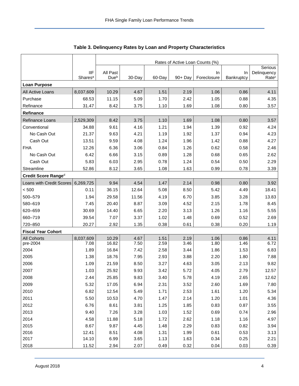<span id="page-4-0"></span>

|                           |                                   | Rates of Active Loan Counts (%) |              |              |              |                   |                  |                                  |  |  |  |
|---------------------------|-----------------------------------|---------------------------------|--------------|--------------|--------------|-------------------|------------------|----------------------------------|--|--|--|
|                           |                                   |                                 |              |              |              |                   |                  |                                  |  |  |  |
|                           | <b>IIF</b><br>Shares <sup>a</sup> | All Past<br>Due <sup>b</sup>    | 30-Day       | 60-Day       | 90+ Day      | In<br>Foreclosure | In<br>Bankruptcy | Delinquency<br>Rate <sup>c</sup> |  |  |  |
| <b>Loan Purpose</b>       |                                   |                                 |              |              |              |                   |                  |                                  |  |  |  |
| All Active Loans          | 8,037,609                         | 10.29                           | 4.67         | 1.51         | 2.19         | 1.06              | 0.86             | 4.11                             |  |  |  |
| Purchase                  | 68.53                             | 11.15                           | 5.09         | 1.70         | 2.42         | 1.05              | 0.88             | 4.35                             |  |  |  |
| Refinance                 | 31.47                             | 8.42                            | 3.75         | 1.10         | 1.69         | 1.08              | 0.80             | 3.57                             |  |  |  |
| Refinance                 |                                   |                                 |              |              |              |                   |                  |                                  |  |  |  |
| Refinance Loans           | 2,529,309                         | 8.42                            | 3.75         | 1.10         | 1.69         | 1.08              | 0.80             | 3.57                             |  |  |  |
| Conventional              | 34.88                             | 9.61                            | 4.16         | 1.21         | 1.94         | 1.39              | 0.92             | 4.24                             |  |  |  |
| No Cash Out               | 21.37                             | 9.63                            | 4.21         | 1.19         | 1.92         | 1.37              | 0.94             | 4.23                             |  |  |  |
| Cash Out                  | 13.51                             | 9.59                            | 4.08         | 1.24         | 1.96         | 1.42              | 0.88             | 4.27                             |  |  |  |
| <b>FHA</b>                | 12.26                             | 6.36                            | 3.06         | 0.84         | 1.26         | 0.62              | 0.58             | 2.46                             |  |  |  |
| No Cash Out               | 6.42                              | 6.66                            | 3.15         | 0.89         | 1.28         | 0.68              | 0.65             | 2.62                             |  |  |  |
| Cash Out                  | 5.83                              | 6.03                            | 2.95         | 0.78         | 1.24         | 0.54              | 0.50             | 2.29                             |  |  |  |
| Streamline                | 52.86                             | 8.12                            | 3.65         | 1.08         | 1.63         | 0.99              | 0.78             | 3.39                             |  |  |  |
| Credit Score Ranged       |                                   |                                 |              |              |              |                   |                  |                                  |  |  |  |
| Loans with Credit Scores  | 6,269,725                         | 9.94                            | 4.54         | 1.47         | 2.14         | 0.98              | 0.80             | 3.92                             |  |  |  |
| < 500                     | 0.11                              | 36.15                           | 12.64        | 5.08         | 8.50         | 5.42              | 4.49             | 18.41                            |  |  |  |
| 500-579                   | 1.94                              | 29.58                           | 11.56        | 4.19         | 6.70         | 3.85              | 3.28             | 13.83                            |  |  |  |
| 580-619                   | 7.45                              | 20.40                           | 8.87         | 3.09         | 4.52         | 2.15              | 1.78             | 8.45                             |  |  |  |
| 620-659                   | 30.69                             | 14.40                           | 6.65         | 2.20         | 3.13         | 1.26              | 1.16             | 5.55                             |  |  |  |
| 660-719                   | 39.54                             | 7.07                            | 3.37         | 1.02         | 1.48         | 0.69              | 0.52             | 2.69                             |  |  |  |
| 720-850                   | 20.27                             | 2.92                            | 1.35         | 0.38         | 0.61         | 0.38              | 0.20             | 1.19                             |  |  |  |
| <b>Fiscal Year Cohort</b> |                                   |                                 |              |              |              |                   |                  |                                  |  |  |  |
| <b>All Cohorts</b>        | 8,037,609                         | 10.29                           | 4.67         | 1.51         | 2.19         | 1.06              | 0.86             | 4.11                             |  |  |  |
| pre-2004                  | 7.08                              | 16.82                           | 7.50         | 2.59         | 3.46         | 1.80              | 1.46             | 6.72                             |  |  |  |
| 2004                      | 1.89                              | 16.84                           | 7.42         | 2.58         | 3.44         | 1.86              | 1.53             | 6.83                             |  |  |  |
| 2005                      | 1.38                              | 18.76                           | 7.95         | 2.93         | 3.88         | 2.20              | 1.80             | 7.88                             |  |  |  |
| 2006                      | 1.09                              | 21.59                           | 8.50         | 3.27         | 4.63         | 3.05              | 2.13             | 9.82                             |  |  |  |
| 2007                      | 1.03                              | 25.92                           | 9.93         | 3.42         | 5.72         | 4.05              | 2.79             | 12.57                            |  |  |  |
| 2008                      | 2.44                              | 25.85                           | 9.83         | 3.40         | 5.78         | 4.19              | 2.65             | 12.62                            |  |  |  |
| 2009                      | 5.32                              | 17.05                           | 6.94         | 2.31         | 3.52         | 2.60              | 1.69             | 7.80                             |  |  |  |
| 2010                      | 6.82                              | 12.54                           | 5.49         | 1.71         | 2.53         | 1.61              | 1.20             | 5.34                             |  |  |  |
| 2011                      | 5.50                              | 10.53                           | 4.70         | 1.47         | 2.14         | 1.20              | 1.01             | 4.36                             |  |  |  |
| 2012                      | 6.76                              | 8.61                            | 3.81         | 1.25         | 1.85         | 0.83              | 0.87             | 3.55                             |  |  |  |
| 2013                      | 9.40                              | 7.26                            | 3.28         | 1.03         | 1.52         | 0.69              | 0.74             | 2.96                             |  |  |  |
| 2014                      | 4.58                              | 11.88                           | 5.18         | 1.72         | 2.62         | 1.18              | 1.16             | 4.97                             |  |  |  |
| 2015                      | 8.67                              | 9.87                            | 4.45         | 1.48         | 2.29         | 0.83              | 0.82             | 3.94                             |  |  |  |
| 2016<br>2017              | 12.41<br>14.10                    | 8.51<br>6.99                    | 4.08<br>3.65 | 1.31<br>1.13 | 1.99<br>1.63 | 0.61<br>0.34      | 0.53<br>0.25     | 3.13<br>2.21                     |  |  |  |
| 2018                      | 11.52                             | 2.94                            | 2.07         | 0.49         | 0.32         | 0.04              | 0.03             | 0.39                             |  |  |  |

**Table 3. Delinquency Rates by Loan and Property Characteristics**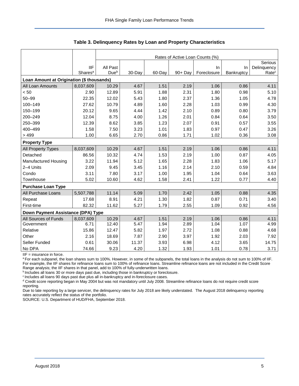|                                           |                     | Rates of Active Loan Counts (%) |        |        |            |             |            |                   |  |  |  |
|-------------------------------------------|---------------------|---------------------------------|--------|--------|------------|-------------|------------|-------------------|--|--|--|
|                                           |                     |                                 |        |        |            |             |            | Serious           |  |  |  |
|                                           | <b>IIF</b>          | All Past                        |        |        |            | In          | In         | Delinquency       |  |  |  |
|                                           | Shares <sup>a</sup> | Due <sup>b</sup>                | 30-Day | 60-Day | $90 + Day$ | Foreclosure | Bankruptcy | Rate <sup>c</sup> |  |  |  |
| Loan Amount at Origination (\$ thousands) |                     |                                 |        |        |            |             |            |                   |  |  |  |
| All Loan Amounts                          | 8,037,609           | 10.29                           | 4.67   | 1.51   | 2.19       | 1.06        | 0.86       | 4.11              |  |  |  |
| < 50                                      | 2.90                | 12.89                           | 5.91   | 1.88   | 2.31       | 1.80        | 0.98       | 5.10              |  |  |  |
| $50 - 99$                                 | 22.35               | 12.02                           | 5.43   | 1.80   | 2.37       | 1.36        | 1.05       | 4.78              |  |  |  |
| 100-149                                   | 27.62               | 10.79                           | 4.89   | 1.60   | 2.28       | 1.03        | 0.99       | 4.30              |  |  |  |
| 150-199                                   | 20.12               | 9.65                            | 4.44   | 1.42   | 2.10       | 0.89        | 0.80       | 3.79              |  |  |  |
| 200-249                                   | 12.04               | 8.75                            | 4.00   | 1.26   | 2.01       | 0.84        | 0.64       | 3.50              |  |  |  |
| 250-399                                   | 12.39               | 8.62                            | 3.85   | 1.23   | 2.07       | 0.91        | 0.57       | 3.55              |  |  |  |
| 400-499                                   | 1.58                | 7.50                            | 3.23   | 1.01   | 1.83       | 0.97        | 0.47       | 3.26              |  |  |  |
| >499                                      | 1.00                | 6.65                            | 2.70   | 0.86   | 1.71       | 1.02        | 0.36       | 3.08              |  |  |  |
| <b>Property Type</b>                      |                     |                                 |        |        |            |             |            |                   |  |  |  |
| All Property Types                        | 8,037,609           | 10.29                           | 4.67   | 1.51   | 2.19       | 1.06        | 0.86       | 4.11              |  |  |  |
| Detached                                  | 86.56               | 10.32                           | 4.74   | 1.53   | 2.19       | 1.00        | 0.87       | 4.05              |  |  |  |
| Manufactured Housing                      | 3.22                | 11.94                           | 5.12   | 1.65   | 2.28       | 1.83        | 1.06       | 5.17              |  |  |  |
| 2-4 Units                                 | 2.09                | 9.45                            | 3.45   | 1.16   | 2.14       | 2.10        | 0.59       | 4.84              |  |  |  |
| Condo                                     | 3.11                | 7.80                            | 3.17   | 1.00   | 1.95       | 1.04        | 0.64       | 3.63              |  |  |  |
| Townhouse                                 | 5.02                | 10.60                           | 4.62   | 1.58   | 2.41       | 1.22        | 0.77       | 4.40              |  |  |  |
| <b>Purchase Loan Type</b>                 |                     |                                 |        |        |            |             |            |                   |  |  |  |
| All Purchase Loans                        | 5,507,788           | 11.14                           | 5.09   | 1.70   | 2.42       | 1.05        | 0.88       | 4.35              |  |  |  |
| Repeat                                    | 17.68               | 8.91                            | 4.21   | 1.30   | 1.82       | 0.87        | 0.71       | 3.40              |  |  |  |
| First-time                                | 82.32               | 11.62                           | 5.27   | 1.79   | 2.55       | 1.09        | 0.92       | 4.56              |  |  |  |
| Down Payment Assistance (DPA) Type        |                     |                                 |        |        |            |             |            |                   |  |  |  |
| All Sources of Funds                      | 8,037,609           | 10.29                           | 4.67   | 1.51   | 2.19       | 1.06        | 0.86       | 4.11              |  |  |  |
| Government                                | 6.71                | 12.40                           | 5.47   | 1.94   | 2.89       | 1.04        | 1.07       | 4.99              |  |  |  |
| Relative                                  | 15.86               | 12.47                           | 5.82   | 1.97   | 2.72       | 1.08        | 0.88       | 4.68              |  |  |  |
| Other                                     | 2.16                | 18.69                           | 7.87   | 2.90   | 3.97       | 1.92        | 2.03       | 7.92              |  |  |  |
| Seller Funded                             | 0.61                | 30.06                           | 11.37  | 3.93   | 6.98       | 4.12        | 3.65       | 14.75             |  |  |  |
| No DPA                                    | 74.66               | 9.23                            | 4.20   | 1.32   | 1.93       | 1.01        | 0.78       | 3.71              |  |  |  |

**Table 3. Delinquency Rates by Loan and Property Characteristics**

 $IIF =$  insurance in force.

a For each subpanel, the loan shares sum to 100%. However, in some of the subpanels, the total loans in the analysis do not sum to 100% of IIF. For example, the IIF shares for refinance loans sum to 100% of refinance loans. Streamline refinance loans are not included in the Credit Score Range analysis; the IIF shares in that panel, add to 100% of fully-underwritten loans.

b Includes all loans 30 or more days past due, including those in bankruptcy or foreclosure.

<sup>c</sup> Includes all loans 90 days past due plus all in-bankruptcy and in-foreclosure cases.

d Credit score reporting began in May 2004 but was not mandatory until July 2008. Streamline refinance loans do not require credit score reporting.

Due to late reporting by a large servicer, the delinquency rates for July 2018 are likely understated. The August 2018 delinquency reporting rates accurately reflect the status of the portfolio.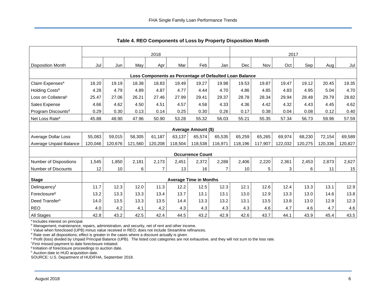<span id="page-6-0"></span>

|                                                         | 2018                       |         |         |         |         |                               |                | 2017    |         |         |         |         |         |
|---------------------------------------------------------|----------------------------|---------|---------|---------|---------|-------------------------------|----------------|---------|---------|---------|---------|---------|---------|
| <b>Disposition Month</b>                                | Jul                        | Jun     | May     | Apr     | Mar     | Feb                           | Jan            | Dec     | Nov     | Oct     | Sep     | Aug     | Jul     |
| Loss Components as Percentage of Defaulted Loan Balance |                            |         |         |         |         |                               |                |         |         |         |         |         |         |
| Claim Expenses <sup>a</sup>                             | 18.20                      | 19.19   | 18.38   | 18.83   | 19.49   | 19.27                         | 19.98          | 19.53   | 19.87   | 19.47   | 19.12   | 20.45   | 19.35   |
| Holding Costsb                                          | 4.28                       | 4.79    | 4.89    | 4.87    | 4.77    | 4.44                          | 4.70           | 4.86    | 4.85    | 4.83    | 4.95    | 5.04    | 4.70    |
| Loss on Collateral <sup>c</sup>                         | 25.47                      | 27.06   | 26.21   | 27.46   | 27.99   | 29.41                         | 29.37          | 28.78   | 28.34   | 29.94   | 28.48   | 29.79   | 28.82   |
| Sales Expense                                           | 4.66                       | 4.62    | 4.50    | 4.51    | 4.57    | 4.58                          | 4.33           | 4.36    | 4.42    | 4.32    | 4.43    | 4.45    | 4.62    |
| Program Discounts <sup>d</sup>                          | 0.29                       | 0.30    | 0.13    | 0.14    | 0.25    | 0.30                          | 0.26           | 0.17    | 0.38    | 0.04    | 0.08    | 0.12    | 0.40    |
| Net Loss Rate <sup>e</sup>                              | 45.88                      | 48.90   | 47.96   | 50.90   | 53.28   | 55.32                         | 56.03          | 55.21   | 55.35   | 57.34   | 56.73   | 59.96   | 57.59   |
|                                                         | <b>Average Amount (\$)</b> |         |         |         |         |                               |                |         |         |         |         |         |         |
| Average Dollar Loss                                     | 55,083                     | 59,015  | 58,305  | 61,187  | 63,137  | 65,574                        | 65,535         | 65,259  | 65,265  | 69,974  | 68,230  | 72,154  | 69,589  |
| Average Unpaid Balance                                  | 120,046                    | 120,676 | 121,560 | 120,208 | 118,504 | 118,538                       | 116,971        | 118,196 | 117,907 | 122,032 | 120,275 | 120,336 | 120,827 |
|                                                         |                            |         |         |         |         | <b>Occurrence Count</b>       |                |         |         |         |         |         |         |
| <b>Number of Dispositions</b>                           | 1,545                      | 1,850   | 2,181   | 2,173   | 2,451   | 2,372                         | 2,288          | 2,406   | 2,220   | 2,361   | 2,453   | 2,873   | 2,627   |
| <b>Number of Discounts</b>                              | 12                         | 10      | 6       | 7       | 13      | 16                            | $\overline{7}$ | 10      | 5       | 3       | 6       | 11      | 15      |
| <b>Stage</b>                                            |                            |         |         |         |         | <b>Average Time in Months</b> |                |         |         |         |         |         |         |
| Delinquencyf                                            | 11.7                       | 12.3    | 12.0    | 11.3    | 12.2    | 12.5                          | 12.3           | 12.1    | 12.6    | 12.4    | 13.3    | 13.1    | 12.9    |
| Foreclosure <sup>g</sup>                                | 13.2                       | 13.3    | 13.3    | 13.4    | 13.7    | 13.1                          | 13.1           | 13.0    | 12.9    | 13.3    | 13.0    | 14.6    | 13.8    |
| Deed Transferh                                          | 14.0                       | 13.5    | 13.3    | 13.5    | 14.4    | 13.3                          | 13.2           | 13.1    | 13.5    | 13.8    | 13.0    | 12.9    | 12.3    |
| <b>REO</b>                                              | 4.0                        | 4.2     | 4.1     | 4.2     | 4.3     | 4.3                           | 4.3            | 4.3     | 4.6     | 4.7     | 4.6     | 4.7     | 4.6     |
| All Stages                                              | 42.8                       | 43.2    | 42.5    | 42.4    | 44.5    | 43.2                          | 42.9           | 42.6    | 43.7    | 44.1    | 43.9    | 45.4    | 43.5    |

**Table 4. REO Components of Loss by Property Disposition Month**

<sup>a</sup> Includes interest on principal.

**b Management, maintenance, repairs, administration, and security, net of rent and other income.** 

<sup>c</sup> Value when foreclosed (UPB) minus value received in REO; does not include Streamline refinances.

 $d$  Rate over all dispositions; effect is greater in the cases where a discount actually is given.

<sup>e</sup> Profit (loss) divided by Unpaid Principal Balance (UPB). The listed cost categories are not exhaustive, and they will not sum to the loss rate.

<sup>f</sup> First missed payment to date foreclosure initiated.

<sup>g</sup> Initiation of foreclosure proceedings to auction date.

h Auction date to HUD acquisition date.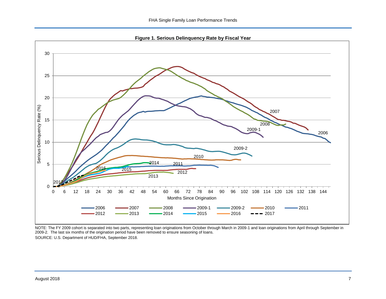**Figure 1. Serious Delinquency Rate by Fiscal Year**

<span id="page-7-0"></span>

NOTE: The FY 2009 cohort is separated into two parts, representing loan originations from October through March in 2009-1 and loan originations from April through September in 2009-2. The last six months of the origination period have been removed to ensure seasoning of loans.